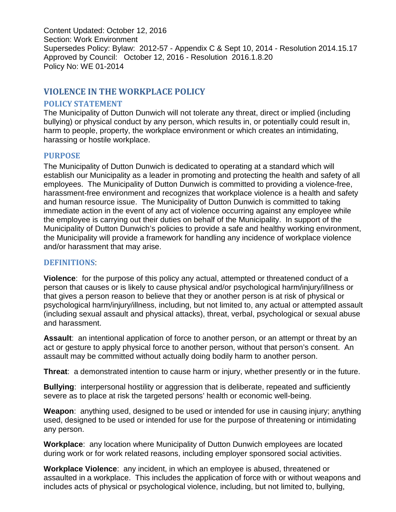Content Updated: October 12, 2016 Section: Work Environment Supersedes Policy: Bylaw: 2012-57 - Appendix C & Sept 10, 2014 - Resolution 2014.15.17 Approved by Council: October 12, 2016 - Resolution 2016.1.8.20 Policy No: WE 01-2014

# **VIOLENCE IN THE WORKPLACE POLICY**

### **POLICY STATEMENT**

The Municipality of Dutton Dunwich will not tolerate any threat, direct or implied (including bullying) or physical conduct by any person, which results in, or potentially could result in, harm to people, property, the workplace environment or which creates an intimidating, harassing or hostile workplace.

## **PURPOSE**

The Municipality of Dutton Dunwich is dedicated to operating at a standard which will establish our Municipality as a leader in promoting and protecting the health and safety of all employees. The Municipality of Dutton Dunwich is committed to providing a violence-free, harassment-free environment and recognizes that workplace violence is a health and safety and human resource issue. The Municipality of Dutton Dunwich is committed to taking immediate action in the event of any act of violence occurring against any employee while the employee is carrying out their duties on behalf of the Municipality. In support of the Municipality of Dutton Dunwich's policies to provide a safe and healthy working environment, the Municipality will provide a framework for handling any incidence of workplace violence and/or harassment that may arise.

## **DEFINITIONS**:

**Violence**: for the purpose of this policy any actual, attempted or threatened conduct of a person that causes or is likely to cause physical and/or psychological harm/injury/illness or that gives a person reason to believe that they or another person is at risk of physical or psychological harm/injury/illness, including, but not limited to, any actual or attempted assault (including sexual assault and physical attacks), threat, verbal, psychological or sexual abuse and harassment.

**Assault**: an intentional application of force to another person, or an attempt or threat by an act or gesture to apply physical force to another person, without that person's consent. An assault may be committed without actually doing bodily harm to another person.

**Threat**: a demonstrated intention to cause harm or injury, whether presently or in the future.

**Bullying**: interpersonal hostility or aggression that is deliberate, repeated and sufficiently severe as to place at risk the targeted persons' health or economic well-being.

**Weapon**: anything used, designed to be used or intended for use in causing injury; anything used, designed to be used or intended for use for the purpose of threatening or intimidating any person.

**Workplace**: any location where Municipality of Dutton Dunwich employees are located during work or for work related reasons, including employer sponsored social activities.

**Workplace Violence**: any incident, in which an employee is abused, threatened or assaulted in a workplace. This includes the application of force with or without weapons and includes acts of physical or psychological violence, including, but not limited to, bullying,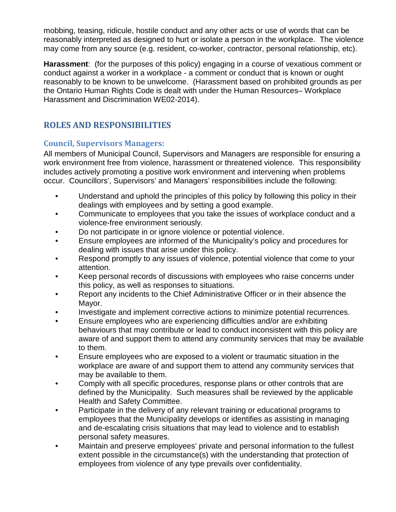mobbing, teasing, ridicule, hostile conduct and any other acts or use of words that can be reasonably interpreted as designed to hurt or isolate a person in the workplace. The violence may come from any source (e.g. resident, co-worker, contractor, personal relationship, etc).

**Harassment**: (for the purposes of this policy) engaging in a course of vexatious comment or conduct against a worker in a workplace - a comment or conduct that is known or ought reasonably to be known to be unwelcome. (Harassment based on prohibited grounds as per the Ontario Human Rights Code is dealt with under the Human Resources– Workplace Harassment and Discrimination WE02-2014).

# **ROLES AND RESPONSIBILITIES**

# **Council, Supervisors Managers:**

All members of Municipal Council, Supervisors and Managers are responsible for ensuring a work environment free from violence, harassment or threatened violence. This responsibility includes actively promoting a positive work environment and intervening when problems occur. Councillors', Supervisors' and Managers' responsibilities include the following:

- Understand and uphold the principles of this policy by following this policy in their dealings with employees and by setting a good example.
- Communicate to employees that you take the issues of workplace conduct and a violence-free environment seriously.
- Do not participate in or ignore violence or potential violence.
- Ensure employees are informed of the Municipality's policy and procedures for dealing with issues that arise under this policy.
- Respond promptly to any issues of violence, potential violence that come to your attention.
- Keep personal records of discussions with employees who raise concerns under this policy, as well as responses to situations.
- Report any incidents to the Chief Administrative Officer or in their absence the Mayor.
- Investigate and implement corrective actions to minimize potential recurrences.
- Ensure employees who are experiencing difficulties and/or are exhibiting behaviours that may contribute or lead to conduct inconsistent with this policy are aware of and support them to attend any community services that may be available to them.
- Ensure employees who are exposed to a violent or traumatic situation in the workplace are aware of and support them to attend any community services that may be available to them.
- Comply with all specific procedures, response plans or other controls that are defined by the Municipality. Such measures shall be reviewed by the applicable Health and Safety Committee.
- Participate in the delivery of any relevant training or educational programs to employees that the Municipality develops or identifies as assisting in managing and de-escalating crisis situations that may lead to violence and to establish personal safety measures.
- Maintain and preserve employees' private and personal information to the fullest extent possible in the circumstance(s) with the understanding that protection of employees from violence of any type prevails over confidentiality.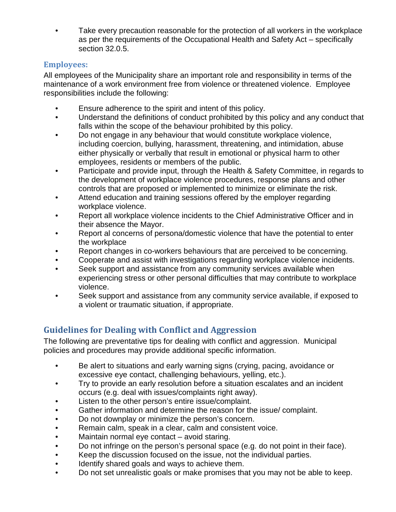• Take every precaution reasonable for the protection of all workers in the workplace as per the requirements of the Occupational Health and Safety Act – specifically section 32.0.5.

# **Employees:**

All employees of the Municipality share an important role and responsibility in terms of the maintenance of a work environment free from violence or threatened violence. Employee responsibilities include the following:

- Ensure adherence to the spirit and intent of this policy.
- Understand the definitions of conduct prohibited by this policy and any conduct that falls within the scope of the behaviour prohibited by this policy.
- Do not engage in any behaviour that would constitute workplace violence, including coercion, bullying, harassment, threatening, and intimidation, abuse either physically or verbally that result in emotional or physical harm to other employees, residents or members of the public.
- Participate and provide input, through the Health & Safety Committee, in regards to the development of workplace violence procedures, response plans and other controls that are proposed or implemented to minimize or eliminate the risk.
- Attend education and training sessions offered by the employer regarding workplace violence.
- Report all workplace violence incidents to the Chief Administrative Officer and in their absence the Mayor.
- Report al concerns of persona/domestic violence that have the potential to enter the workplace
- Report changes in co-workers behaviours that are perceived to be concerning.
- Cooperate and assist with investigations regarding workplace violence incidents.
- Seek support and assistance from any community services available when experiencing stress or other personal difficulties that may contribute to workplace violence.
- Seek support and assistance from any community service available, if exposed to a violent or traumatic situation, if appropriate.

# **Guidelines for Dealing with Conflict and Aggression**

The following are preventative tips for dealing with conflict and aggression. Municipal policies and procedures may provide additional specific information.

- Be alert to situations and early warning signs (crying, pacing, avoidance or excessive eye contact, challenging behaviours, yelling, etc.).
- Try to provide an early resolution before a situation escalates and an incident occurs (e.g. deal with issues/complaints right away).
- Listen to the other person's entire issue/complaint.
- Gather information and determine the reason for the issue/ complaint.
- Do not downplay or minimize the person's concern.
- Remain calm, speak in a clear, calm and consistent voice.
- Maintain normal eye contact avoid staring.
- Do not infringe on the person's personal space (e.g. do not point in their face).
- Keep the discussion focused on the issue, not the individual parties.
- Identify shared goals and ways to achieve them.
- Do not set unrealistic goals or make promises that you may not be able to keep.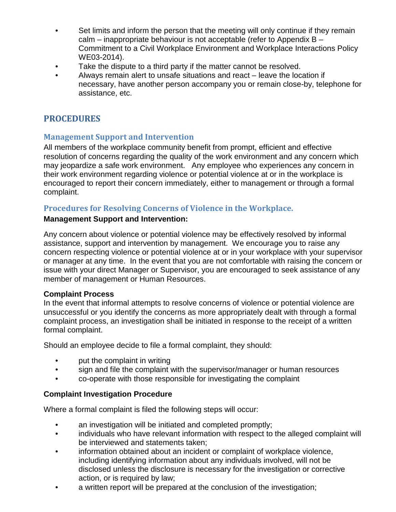- Set limits and inform the person that the meeting will only continue if they remain calm – inappropriate behaviour is not acceptable (refer to Appendix B – Commitment to a Civil Workplace Environment and Workplace Interactions Policy WE03-2014).
- Take the dispute to a third party if the matter cannot be resolved.
- Always remain alert to unsafe situations and react leave the location if necessary, have another person accompany you or remain close-by, telephone for assistance, etc.

# **PROCEDURES**

## **Management Support and Intervention**

All members of the workplace community benefit from prompt, efficient and effective resolution of concerns regarding the quality of the work environment and any concern which may jeopardize a safe work environment. Any employee who experiences any concern in their work environment regarding violence or potential violence at or in the workplace is encouraged to report their concern immediately, either to management or through a formal complaint.

## **Procedures for Resolving Concerns of Violence in the Workplace.**

#### **Management Support and Intervention:**

Any concern about violence or potential violence may be effectively resolved by informal assistance, support and intervention by management. We encourage you to raise any concern respecting violence or potential violence at or in your workplace with your supervisor or manager at any time. In the event that you are not comfortable with raising the concern or issue with your direct Manager or Supervisor, you are encouraged to seek assistance of any member of management or Human Resources.

## **Complaint Process**

In the event that informal attempts to resolve concerns of violence or potential violence are unsuccessful or you identify the concerns as more appropriately dealt with through a formal complaint process, an investigation shall be initiated in response to the receipt of a written formal complaint.

Should an employee decide to file a formal complaint, they should:

- put the complaint in writing
- sign and file the complaint with the supervisor/manager or human resources
- co-operate with those responsible for investigating the complaint

## **Complaint Investigation Procedure**

Where a formal complaint is filed the following steps will occur:

- an investigation will be initiated and completed promptly;
- individuals who have relevant information with respect to the alleged complaint will be interviewed and statements taken;
- information obtained about an incident or complaint of workplace violence, including identifying information about any individuals involved, will not be disclosed unless the disclosure is necessary for the investigation or corrective action, or is required by law;
- a written report will be prepared at the conclusion of the investigation;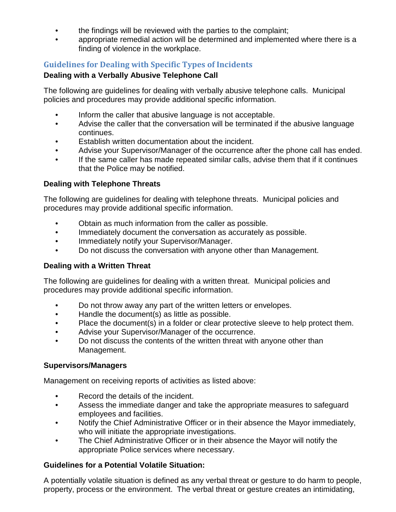- the findings will be reviewed with the parties to the complaint;
- appropriate remedial action will be determined and implemented where there is a finding of violence in the workplace.

# **Guidelines for Dealing with Specific Types of Incidents**

#### **Dealing with a Verbally Abusive Telephone Call**

The following are guidelines for dealing with verbally abusive telephone calls. Municipal policies and procedures may provide additional specific information.

- Inform the caller that abusive language is not acceptable.
- Advise the caller that the conversation will be terminated if the abusive language continues.
- Establish written documentation about the incident.
- Advise your Supervisor/Manager of the occurrence after the phone call has ended.
- If the same caller has made repeated similar calls, advise them that if it continues that the Police may be notified.

## **Dealing with Telephone Threats**

The following are guidelines for dealing with telephone threats. Municipal policies and procedures may provide additional specific information.

- Obtain as much information from the caller as possible.
- Immediately document the conversation as accurately as possible.
- Immediately notify your Supervisor/Manager.
- Do not discuss the conversation with anyone other than Management.

## **Dealing with a Written Threat**

The following are guidelines for dealing with a written threat. Municipal policies and procedures may provide additional specific information.

- Do not throw away any part of the written letters or envelopes.
- Handle the document(s) as little as possible.
- Place the document(s) in a folder or clear protective sleeve to help protect them.
- Advise your Supervisor/Manager of the occurrence.
- Do not discuss the contents of the written threat with anyone other than Management.

#### **Supervisors/Managers**

Management on receiving reports of activities as listed above:

- Record the details of the incident.
- Assess the immediate danger and take the appropriate measures to safeguard employees and facilities.
- Notify the Chief Administrative Officer or in their absence the Mayor immediately, who will initiate the appropriate investigations.
- The Chief Administrative Officer or in their absence the Mayor will notify the appropriate Police services where necessary.

## **Guidelines for a Potential Volatile Situation:**

A potentially volatile situation is defined as any verbal threat or gesture to do harm to people, property, process or the environment. The verbal threat or gesture creates an intimidating,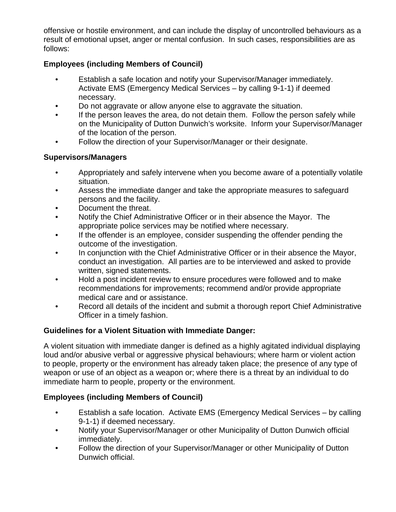offensive or hostile environment, and can include the display of uncontrolled behaviours as a result of emotional upset, anger or mental confusion. In such cases, responsibilities are as follows:

## **Employees (including Members of Council)**

- Establish a safe location and notify your Supervisor/Manager immediately. Activate EMS (Emergency Medical Services – by calling 9-1-1) if deemed necessary.
- Do not aggravate or allow anyone else to aggravate the situation.
- If the person leaves the area, do not detain them. Follow the person safely while on the Municipality of Dutton Dunwich's worksite. Inform your Supervisor/Manager of the location of the person.
- Follow the direction of your Supervisor/Manager or their designate.

## **Supervisors/Managers**

- Appropriately and safely intervene when you become aware of a potentially volatile situation.
- Assess the immediate danger and take the appropriate measures to safeguard persons and the facility.
- Document the threat.
- Notify the Chief Administrative Officer or in their absence the Mayor. The appropriate police services may be notified where necessary.
- If the offender is an employee, consider suspending the offender pending the outcome of the investigation.
- In conjunction with the Chief Administrative Officer or in their absence the Mayor, conduct an investigation. All parties are to be interviewed and asked to provide written, signed statements.
- Hold a post incident review to ensure procedures were followed and to make recommendations for improvements; recommend and/or provide appropriate medical care and or assistance.
- Record all details of the incident and submit a thorough report Chief Administrative Officer in a timely fashion.

# **Guidelines for a Violent Situation with Immediate Danger:**

A violent situation with immediate danger is defined as a highly agitated individual displaying loud and/or abusive verbal or aggressive physical behaviours; where harm or violent action to people, property or the environment has already taken place; the presence of any type of weapon or use of an object as a weapon or; where there is a threat by an individual to do immediate harm to people, property or the environment.

# **Employees (including Members of Council)**

- Establish a safe location. Activate EMS (Emergency Medical Services by calling 9-1-1) if deemed necessary.
- Notify your Supervisor/Manager or other Municipality of Dutton Dunwich official immediately.
- Follow the direction of your Supervisor/Manager or other Municipality of Dutton Dunwich official.